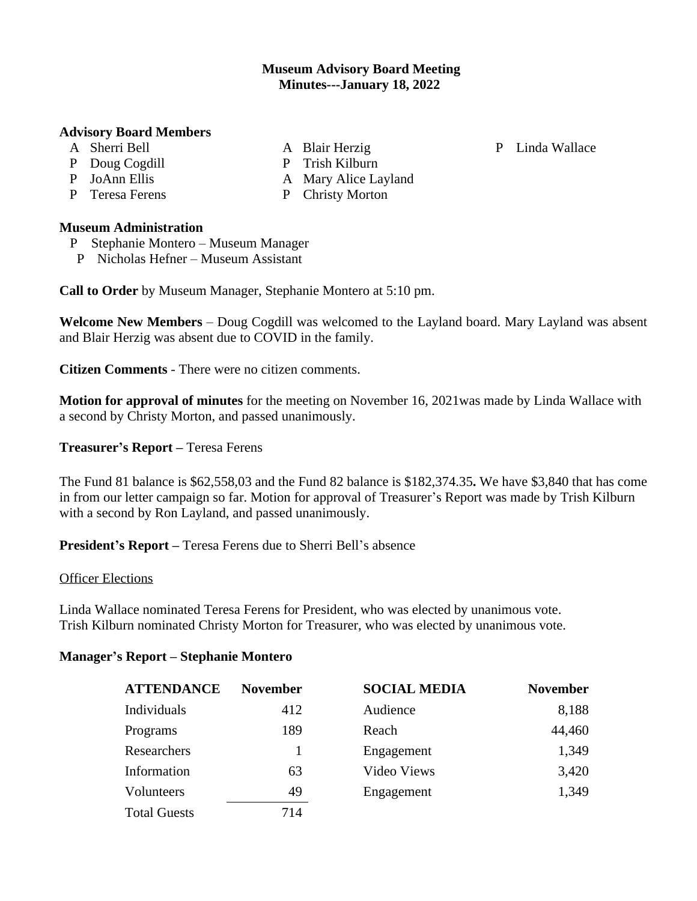# **Museum Advisory Board Meeting Minutes---January 18, 2022**

A Blair Herzig P Trish Kilburn

A Mary Alice Layland P Christy Morton

### **Advisory Board Members**

- A Sherri Bell
- P Doug Cogdill
- P JoAnn Ellis
- P Teresa Ferens

## **Museum Administration**

- P Stephanie Montero Museum Manager
- P Nicholas Hefner Museum Assistant

**Call to Order** by Museum Manager, Stephanie Montero at 5:10 pm.

**Welcome New Members** – Doug Cogdill was welcomed to the Layland board. Mary Layland was absent and Blair Herzig was absent due to COVID in the family.

**Citizen Comments** - There were no citizen comments.

**Motion for approval of minutes** for the meeting on November 16, 2021was made by Linda Wallace with a second by Christy Morton, and passed unanimously.

**Treasurer's Report –** Teresa Ferens

The Fund 81 balance is \$62,558,03 and the Fund 82 balance is \$182,374.35**.** We have \$3,840 that has come in from our letter campaign so far. Motion for approval of Treasurer's Report was made by Trish Kilburn with a second by Ron Layland, and passed unanimously.

**President's Report –** Teresa Ferens due to Sherri Bell's absence

#### Officer Elections

Linda Wallace nominated Teresa Ferens for President, who was elected by unanimous vote. Trish Kilburn nominated Christy Morton for Treasurer, who was elected by unanimous vote.

#### **Manager's Report – Stephanie Montero**

| <b>ATTENDANCE</b>   | <b>November</b> | <b>SOCIAL MEDIA</b>       | <b>November</b>          |
|---------------------|-----------------|---------------------------|--------------------------|
| Individuals         | 412             | Audience                  | 8,188                    |
| Programs            | 189<br>63       | Reach                     | 44,460<br>1,349<br>3,420 |
| Researchers         |                 | Engagement<br>Video Views |                          |
| Information         |                 |                           |                          |
| Volunteers          | 49              | Engagement                | 1,349                    |
| <b>Total Guests</b> | 714             |                           |                          |

P Linda Wallace